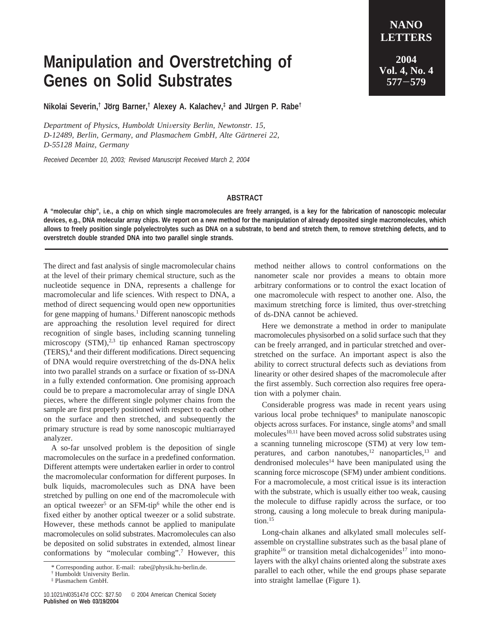## **Manipulation and Overstretching of Genes on Solid Substrates**

**Nikolai Severin,† Jo**1**rg Barner,† Alexey A. Kalachev,‡ and Ju**1**rgen P. Rabe†**

*Department of Physics, Humboldt University Berlin, Newtonstr. 15,* D-12489, Berlin, Germany, and Plasmachem GmbH, Alte Gärtnerei 22, *D-55128 Mainz, Germany*

*Received December 10, 2003; Revised Manuscript Received March 2, 2004*

## **ABSTRACT**

**A "molecular chip", i.e., a chip on which single macromolecules are freely arranged, is a key for the fabrication of nanoscopic molecular devices, e.g., DNA molecular array chips. We report on a new method for the manipulation of already deposited single macromolecules, which allows to freely position single polyelectrolytes such as DNA on a substrate, to bend and stretch them, to remove stretching defects, and to overstretch double stranded DNA into two parallel single strands.**

The direct and fast analysis of single macromolecular chains at the level of their primary chemical structure, such as the nucleotide sequence in DNA, represents a challenge for macromolecular and life sciences. With respect to DNA, a method of direct sequencing would open new opportunities for gene mapping of humans.<sup>1</sup> Different nanoscopic methods are approaching the resolution level required for direct recognition of single bases, including scanning tunneling microscopy  $(STM)<sup>2,3</sup>$  tip enhanced Raman spectroscopy  $(TERS)$ , and their different modifications. Direct sequencing of DNA would require overstretching of the ds-DNA helix into two parallel strands on a surface or fixation of ss-DNA in a fully extended conformation. One promising approach could be to prepare a macromolecular array of single DNA pieces, where the different single polymer chains from the sample are first properly positioned with respect to each other on the surface and then stretched, and subsequently the primary structure is read by some nanoscopic multiarrayed analyzer.

A so-far unsolved problem is the deposition of single macromolecules on the surface in a predefined conformation. Different attempts were undertaken earlier in order to control the macromolecular conformation for different purposes. In bulk liquids, macromolecules such as DNA have been stretched by pulling on one end of the macromolecule with an optical tweezer<sup>5</sup> or an SFM-tip<sup>6</sup> while the other end is fixed either by another optical tweezer or a solid substrate. However, these methods cannot be applied to manipulate macromolecules on solid substrates. Macromolecules can also be deposited on solid substrates in extended, almost linear conformations by "molecular combing".7 However, this method neither allows to control conformations on the nanometer scale nor provides a means to obtain more arbitrary conformations or to control the exact location of one macromolecule with respect to another one. Also, the maximum stretching force is limited, thus over-stretching of ds-DNA cannot be achieved.

Here we demonstrate a method in order to manipulate macromolecules physisorbed on a solid surface such that they can be freely arranged, and in particular stretched and overstretched on the surface. An important aspect is also the ability to correct structural defects such as deviations from linearity or other desired shapes of the macromolecule after the first assembly. Such correction also requires free operation with a polymer chain.

Considerable progress was made in recent years using various local probe techniques<sup>8</sup> to manipulate nanoscopic objects across surfaces. For instance, single atoms<sup>9</sup> and small molecules<sup>10,11</sup> have been moved across solid substrates using a scanning tunneling microscope (STM) at very low temperatures, and carbon nanotubes, $12$  nanoparticles, $13$  and dendronised molecules<sup>14</sup> have been manipulated using the scanning force microscope (SFM) under ambient conditions. For a macromolecule, a most critical issue is its interaction with the substrate, which is usually either too weak, causing the molecule to diffuse rapidly across the surface, or too strong, causing a long molecule to break during manipulation.<sup>15</sup>

Long-chain alkanes and alkylated small molecules selfassemble on crystalline substrates such as the basal plane of graphite<sup>16</sup> or transition metal dichalcogenides<sup>17</sup> into monolayers with the alkyl chains oriented along the substrate axes parallel to each other, while the end groups phase separate into straight lamellae (Figure 1).

<sup>\*</sup> Corresponding author. E-mail: rabe@physik.hu-berlin.de.

<sup>†</sup> Humboldt University Berlin.

<sup>‡</sup> Plasmachem GmbH.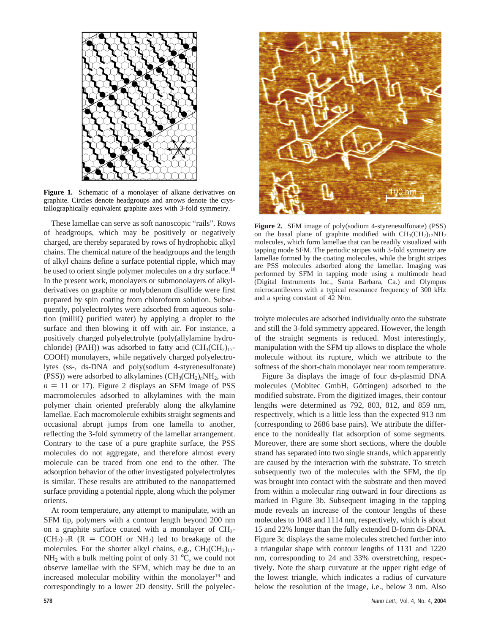

Figure 1. Schematic of a monolayer of alkane derivatives on graphite. Circles denote headgroups and arrows denote the crystallographically equivalent graphite axes with 3-fold symmetry.

These lamellae can serve as soft nanoscopic "rails". Rows of headgroups, which may be positively or negatively charged, are thereby separated by rows of hydrophobic alkyl chains. The chemical nature of the headgroups and the length of alkyl chains define a surface potential ripple, which may be used to orient single polymer molecules on a dry surface.<sup>18</sup> In the present work, monolayers or submonolayers of alkylderivatives on graphite or molybdenum disulfide were first prepared by spin coating from chloroform solution. Subsequently, polyelectrolytes were adsorbed from aqueous solution (milliQ purified water) by applying a droplet to the surface and then blowing it off with air. For instance, a positively charged polyelectrolyte (poly(allylamine hydrochloride) (PAH)) was adsorbed to fatty acid  $(CH_3(CH_2)_{17}$ -COOH) monolayers, while negatively charged polyelectrolytes (ss-, ds-DNA and poly(sodium 4-styrenesulfonate) (PSS)) were adsorbed to alkylamines  $(CH_3(CH_2)_nNH_2$ , with  $n = 11$  or 17). Figure 2 displays an SFM image of PSS macromolecules adsorbed to alkylamines with the main polymer chain oriented preferably along the alkylamine lamellae. Each macromolecule exhibits straight segments and occasional abrupt jumps from one lamella to another, reflecting the 3-fold symmetry of the lamellar arrangement. Contrary to the case of a pure graphite surface, the PSS molecules do not aggregate, and therefore almost every molecule can be traced from one end to the other. The adsorption behavior of the other investigated polyelectrolytes is similar. These results are attributed to the nanopatterned surface providing a potential ripple, along which the polymer orients.

At room temperature, any attempt to manipulate, with an SFM tip, polymers with a contour length beyond 200 nm on a graphite surface coated with a monolayer of  $CH_3$ - $(CH_2)_{17}R$  ( $R = COOH$  or NH<sub>2</sub>) led to breakage of the molecules. For the shorter alkyl chains, e.g.,  $CH<sub>3</sub>(CH<sub>2</sub>)<sub>11</sub>$ - $NH<sub>2</sub>$  with a bulk melting point of only 31 °C, we could not observe lamellae with the SFM, which may be due to an increased molecular mobility within the monolayer<sup>19</sup> and correspondingly to a lower 2D density. Still the polyelec-



**Figure 2.** SFM image of poly(sodium 4-styrenesulfonate) (PSS) on the basal plane of graphite modified with  $CH<sub>3</sub>(CH<sub>2</sub>)<sub>17</sub>NH<sub>2</sub>$ molecules, which form lamellae that can be readily visualized with tapping mode SFM. The periodic stripes with 3-fold symmetry are lamellae formed by the coating molecules, while the bright stripes are PSS molecules adsorbed along the lamellae. Imaging was performed by SFM in tapping mode using a multimode head (Digital Instruments Inc., Santa Barbara, Ca.) and Olympus microcantilevers with a typical resonance frequency of 300 kHz and a spring constant of 42 N/m.

trolyte molecules are adsorbed individually onto the substrate and still the 3-fold symmetry appeared. However, the length of the straight segments is reduced. Most interestingly, manipulation with the SFM tip allows to displace the whole molecule without its rupture, which we attribute to the softness of the short-chain monolayer near room temperature.

Figure 3a displays the image of four ds-plasmid DNA molecules (Mobitec GmbH, Göttingen) adsorbed to the modified substrate. From the digitized images, their contour lengths were determined as 792, 803, 812, and 859 nm, respectively, which is a little less than the expected 913 nm (corresponding to 2686 base pairs). We attribute the difference to the nonideally flat adsorption of some segments. Moreover, there are some short sections, where the double strand has separated into two single strands, which apparently are caused by the interaction with the substrate. To stretch subsequently two of the molecules with the SFM, the tip was brought into contact with the substrate and then moved from within a molecular ring outward in four directions as marked in Figure 3b. Subsequent imaging in the tapping mode reveals an increase of the contour lengths of these molecules to 1048 and 1114 nm, respectively, which is about 15 and 22% longer than the fully extended B-form ds-DNA. Figure 3c displays the same molecules stretched further into a triangular shape with contour lengths of 1131 and 1220 nm, corresponding to 24 and 33% overstretching, respectively. Note the sharp curvature at the upper right edge of the lowest triangle, which indicates a radius of curvature below the resolution of the image, i.e., below 3 nm. Also